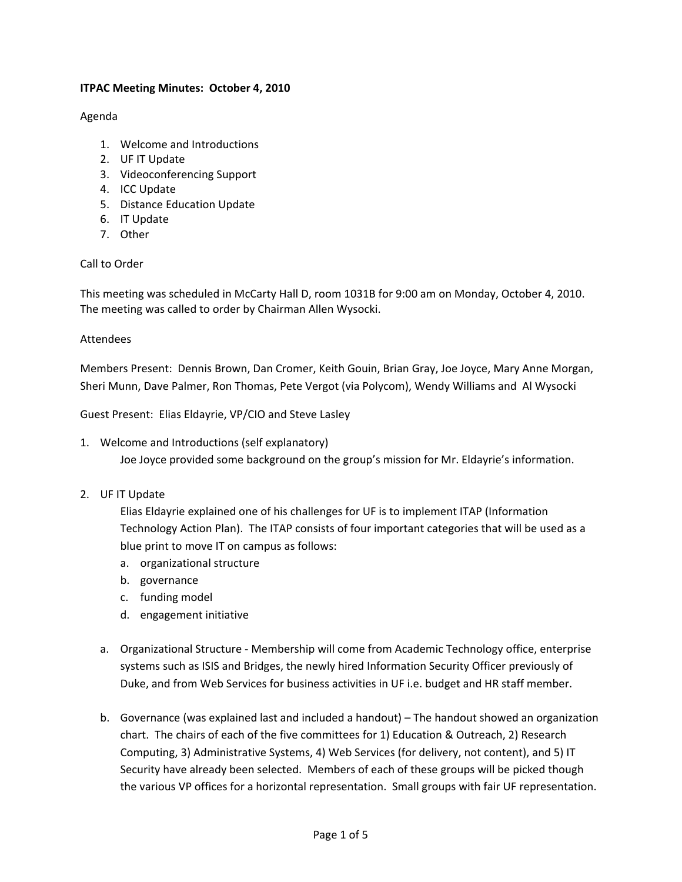## **ITPAC Meeting Minutes: October 4, 2010**

### Agenda

- 1. Welcome and Introductions
- 2. UF IT Update
- 3. Videoconferencing Support
- 4. ICC Update
- 5. Distance Education Update
- 6. IT Update
- 7. Other

#### Call to Order

This meeting was scheduled in McCarty Hall D, room 1031B for 9:00 am on Monday, October 4, 2010. The meeting was called to order by Chairman Allen Wysocki.

#### Attendees

Members Present: Dennis Brown, Dan Cromer, Keith Gouin, Brian Gray, Joe Joyce, Mary Anne Morgan, Sheri Munn, Dave Palmer, Ron Thomas, Pete Vergot (via Polycom), Wendy Williams and Al Wysocki

Guest Present: Elias Eldayrie, VP/CIO and Steve Lasley

1. Welcome and Introductions (self explanatory)

Joe Joyce provided some background on the group's mission for Mr. Eldayrie's information.

#### 2. UF IT Update

Elias Eldayrie explained one of his challenges for UF is to implement ITAP (Information Technology Action Plan). The ITAP consists of four important categories that will be used as a blue print to move IT on campus as follows:

- a. organizational structure
- b. governance
- c. funding model
- d. engagement initiative
- a. Organizational Structure ‐ Membership will come from Academic Technology office, enterprise systems such as ISIS and Bridges, the newly hired Information Security Officer previously of Duke, and from Web Services for business activities in UF i.e. budget and HR staff member.
- b. Governance (was explained last and included a handout) The handout showed an organization chart. The chairs of each of the five committees for 1) Education & Outreach, 2) Research Computing, 3) Administrative Systems, 4) Web Services (for delivery, not content), and 5) IT Security have already been selected. Members of each of these groups will be picked though the various VP offices for a horizontal representation. Small groups with fair UF representation.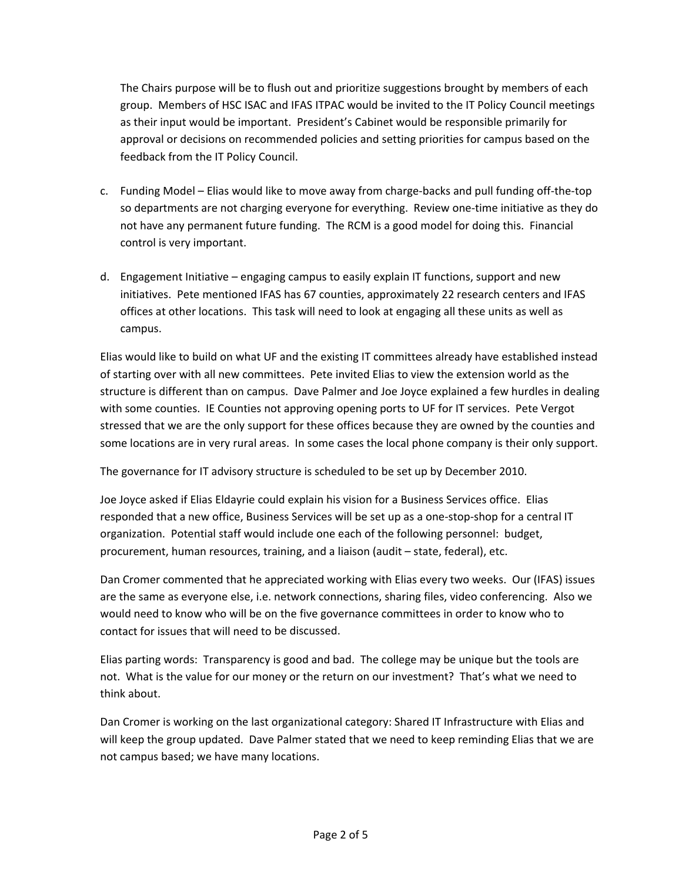The Chairs purpose will be to flush out and prioritize suggestions brought by members of each group. Members of HSC ISAC and IFAS ITPAC would be invited to the IT Policy Council meetings as their input would be important. President's Cabinet would be responsible primarily for approval or decisions on recommended policies and setting priorities for campus based on the feedback from the IT Policy Council.

- c. Funding Model Elias would like to move away from charge‐backs and pull funding off‐the‐top so departments are not charging everyone for everything. Review one-time initiative as they do not have any permanent future funding. The RCM is a good model for doing this. Financial control is very important.
- d. Engagement Initiative engaging campus to easily explain IT functions, support and new initiatives. Pete mentioned IFAS has 67 counties, approximately 22 research centers and IFAS offices at other locations. This task will need to look at engaging all these units as well as campus.

Elias would like to build on what UF and the existing IT committees already have established instead of starting over with all new committees. Pete invited Elias to view the extension world as the structure is different than on campus. Dave Palmer and Joe Joyce explained a few hurdles in dealing with some counties. IE Counties not approving opening ports to UF for IT services. Pete Vergot stressed that we are the only support for these offices because they are owned by the counties and some locations are in very rural areas. In some cases the local phone company is their only support.

The governance for IT advisory structure is scheduled to be set up by December 2010.

Joe Joyce asked if Elias Eldayrie could explain his vision for a Business Services office. Elias responded that a new office, Business Services will be set up as a one-stop-shop for a central IT organization. Potential staff would include one each of the following personnel: budget, procurement, human resources, training, and a liaison (audit – state, federal), etc.

Dan Cromer commented that he appreciated working with Elias every two weeks. Our (IFAS) issues are the same as everyone else, i.e. network connections, sharing files, video conferencing. Also we would need to know who will be on the five governance committees in order to know who to contact for issues that will need to be discussed.

Elias parting words: Transparency is good and bad. The college may be unique but the tools are not. What is the value for our money or the return on our investment? That's what we need to think about.

Dan Cromer is working on the last organizational category: Shared IT Infrastructure with Elias and will keep the group updated. Dave Palmer stated that we need to keep reminding Elias that we are not campus based; we have many locations.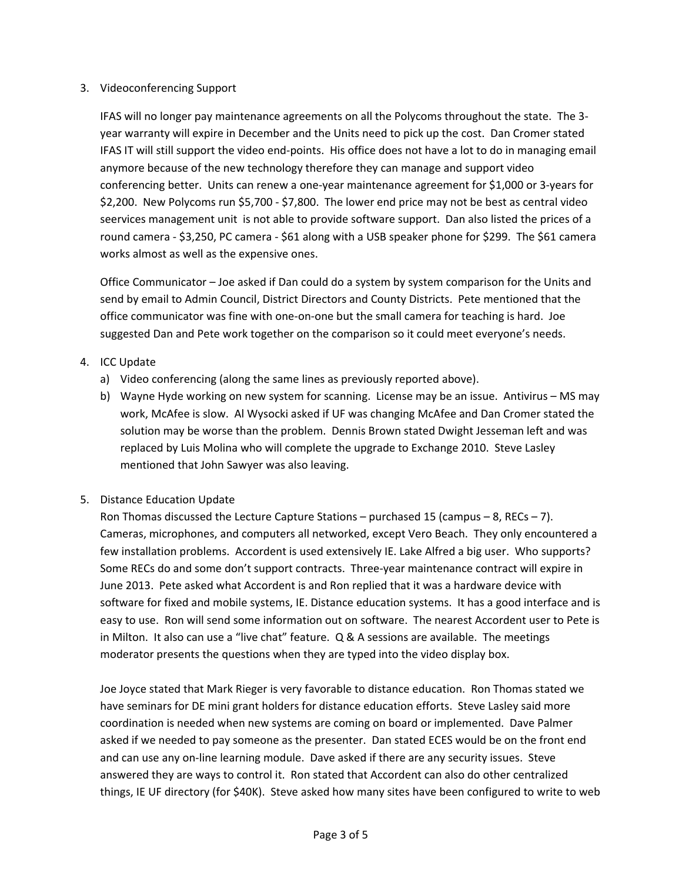### 3. Videoconferencing Support

IFAS will no longer pay maintenance agreements on all the Polycoms throughout the state. The 3‐ year warranty will expire in December and the Units need to pick up the cost. Dan Cromer stated IFAS IT will still support the video end‐points. His office does not have a lot to do in managing email anymore because of the new technology therefore they can manage and support video conferencing better. Units can renew a one‐year maintenance agreement for \$1,000 or 3‐years for \$2,200. New Polycoms run \$5,700 ‐ \$7,800. The lower end price may not be best as central video seervices management unit is not able to provide software support. Dan also listed the prices of a round camera ‐ \$3,250, PC camera ‐ \$61 along with a USB speaker phone for \$299. The \$61 camera works almost as well as the expensive ones.

Office Communicator – Joe asked if Dan could do a system by system comparison for the Units and send by email to Admin Council, District Directors and County Districts. Pete mentioned that the office communicator was fine with one‐on‐one but the small camera for teaching is hard. Joe suggested Dan and Pete work together on the comparison so it could meet everyone's needs.

# 4. ICC Update

- a) Video conferencing (along the same lines as previously reported above).
- b) Wayne Hyde working on new system for scanning. License may be an issue. Antivirus MS may work, McAfee is slow. Al Wysocki asked if UF was changing McAfee and Dan Cromer stated the solution may be worse than the problem. Dennis Brown stated Dwight Jesseman left and was replaced by Luis Molina who will complete the upgrade to Exchange 2010. Steve Lasley mentioned that John Sawyer was also leaving.

# 5. Distance Education Update

Ron Thomas discussed the Lecture Capture Stations – purchased 15 (campus – 8, RECs – 7). Cameras, microphones, and computers all networked, except Vero Beach. They only encountered a few installation problems. Accordent is used extensively IE. Lake Alfred a big user. Who supports? Some RECs do and some don't support contracts. Three-year maintenance contract will expire in June 2013. Pete asked what Accordent is and Ron replied that it was a hardware device with software for fixed and mobile systems, IE. Distance education systems. It has a good interface and is easy to use. Ron will send some information out on software. The nearest Accordent user to Pete is in Milton. It also can use a "live chat" feature. Q & A sessions are available. The meetings moderator presents the questions when they are typed into the video display box.

Joe Joyce stated that Mark Rieger is very favorable to distance education. Ron Thomas stated we have seminars for DE mini grant holders for distance education efforts. Steve Lasley said more coordination is needed when new systems are coming on board or implemented. Dave Palmer asked if we needed to pay someone as the presenter. Dan stated ECES would be on the front end and can use any on‐line learning module. Dave asked if there are any security issues. Steve answered they are ways to control it. Ron stated that Accordent can also do other centralized things, IE UF directory (for \$40K). Steve asked how many sites have been configured to write to web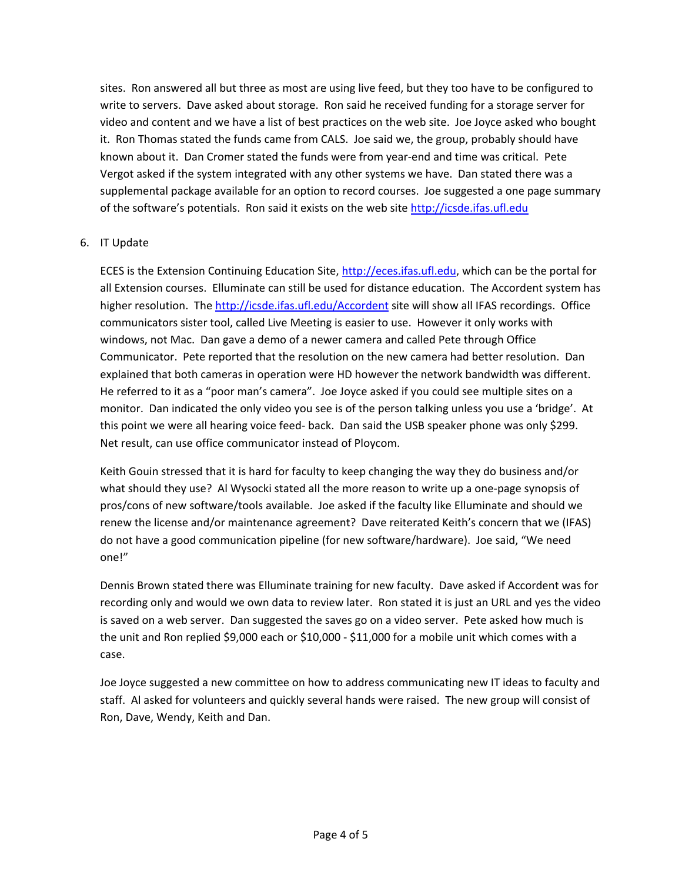sites. Ron answered all but three as most are using live feed, but they too have to be configured to write to servers. Dave asked about storage. Ron said he received funding for a storage server for video and content and we have a list of best practices on the web site. Joe Joyce asked who bought it. Ron Thomas stated the funds came from CALS. Joe said we, the group, probably should have known about it. Dan Cromer stated the funds were from year-end and time was critical. Pete Vergot asked if the system integrated with any other systems we have. Dan stated there was a supplemental package available for an option to record courses. Joe suggested a one page summary of the software's potentials. Ron said it exists on the web site http://icsde.ifas.ufl.edu

## 6. IT Update

ECES is the Extension Continuing Education Site, http://eces.ifas.ufl.edu, which can be the portal for all Extension courses. Elluminate can still be used for distance education. The Accordent system has higher resolution. The http://icsde.ifas.ufl.edu/Accordent site will show all IFAS recordings. Office communicators sister tool, called Live Meeting is easier to use. However it only works with windows, not Mac. Dan gave a demo of a newer camera and called Pete through Office Communicator. Pete reported that the resolution on the new camera had better resolution. Dan explained that both cameras in operation were HD however the network bandwidth was different. He referred to it as a "poor man's camera". Joe Joyce asked if you could see multiple sites on a monitor. Dan indicated the only video you see is of the person talking unless you use a 'bridge'. At this point we were all hearing voice feed‐ back. Dan said the USB speaker phone was only \$299. Net result, can use office communicator instead of Ploycom.

Keith Gouin stressed that it is hard for faculty to keep changing the way they do business and/or what should they use? Al Wysocki stated all the more reason to write up a one-page synopsis of pros/cons of new software/tools available. Joe asked if the faculty like Elluminate and should we renew the license and/or maintenance agreement? Dave reiterated Keith's concern that we (IFAS) do not have a good communication pipeline (for new software/hardware). Joe said, "We need one!"

Dennis Brown stated there was Elluminate training for new faculty. Dave asked if Accordent was for recording only and would we own data to review later. Ron stated it is just an URL and yes the video is saved on a web server. Dan suggested the saves go on a video server. Pete asked how much is the unit and Ron replied \$9,000 each or \$10,000 ‐ \$11,000 for a mobile unit which comes with a case.

Joe Joyce suggested a new committee on how to address communicating new IT ideas to faculty and staff. Al asked for volunteers and quickly several hands were raised. The new group will consist of Ron, Dave, Wendy, Keith and Dan.